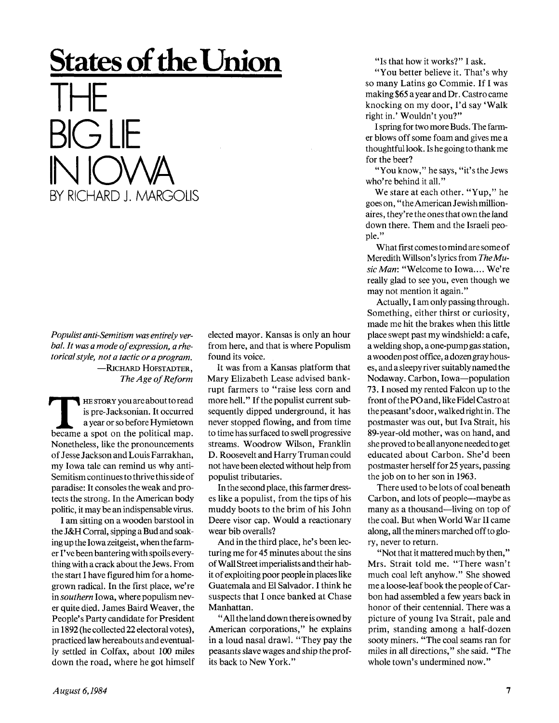## **States of the Union**  THE  $\gtrsim$   $\qquad$ IN IOWA BY RICHARD J. MARGOLIS

*Populist anti-Semitism was entirely verbal. It was a mode of expression, a rhetorical style, not a tactic or a program.*  —RICHARD HOFSTADTER, *The Age of Reform* 

**THE STORY you are about to read<br>
is pre-Jacksonian. It occurred<br>
a year or so before Hymietown<br>
became a spot on the political map.** HE STORY you are about to read is pre-Jacksonian. It occurred a year or so before Hymietown Nonetheless, like the pronouncements of Jesse Jackson and Louis Farrakhan, my Iowa tale can remind us why anti-Semitism continues to thrive this side of paradise: It consoles the weak and protects the strong. In the American body politic, it may be an indispensable virus.

I am sitting on a wooden barstool in the J&H Corral, sipping a Bud and soaking up the Iowa **Zeitgeist,** when the farmer I've been bantering with spoils everything with a crack about the Jews. From the start I have figured him for a homegrown radical. In the first place, we're in *southern* Iowa, where populism never quite died. James Baird Weaver, the People's Party candidate for President in 1892 (he collected 22 electoral votes), practiced law hereabouts and eventually settled in Colfax, about 100 miles down the road, where he got himself

elected mayor. Kansas is only an hour from here, and that is where Populism found its voice.

It was from a Kansas platform that Mary Elizabeth Lease advised bankrupt farmers to "raise less corn and more hell." If the populist current subsequently dipped underground, it has never stopped flowing, and from time to time has surfaced to swell progressive streams. Woodrow Wilson, Franklin D. Roosevelt and Harry Truman could not have been elected without help from populist tributaries.

In the second place, this farmer dresses like a populist, from the tips of his muddy boots to the brim of his John Deere visor cap. Would a reactionary wear bib overalls?

And in the third place, he's been lecturing me for 45 minutes about the sins of Wall Street imperialists and their habit of exploiting poor people in places like Guatemala and El Salvador. I think he suspects that I once banked at Chase Manhattan.

"All the land down there is owned by American corporations," he explains in a loud nasal drawl. "They pay the peasants slave wages and ship the profits back to New York."

"Is that how it works?" I ask.

"You better believe it. That's why so many Latins go Commie. If I was making \$65 a year and Dr. Castro came knocking on my door, I'd say 'Walk right in.' Wouldn't you?"

I spring for two more Buds. The farmer blows off some foam and gives me a thoughtful look. Is he going to thank me for the beer?

"You know," he says, "it's the Jews who're behind it all."

We stare at each other. "Yup," he goes on," the American Jewish millionaires , they're the ones that own the land down there. Them and the Israeli people."

What first comes to mind are some of Meredith Willson's lyrics from *The Music Man:* "Welcome to Iowa.... We're really glad to see you, even though we may not mention it again."

Actually, I am only passing through. Something, either thirst or curiosity, made me hit the brakes when this little place swept past my windshield: a cafe, a welding shop, a one-pump gas station, a wooden post office, a dozen gray houses, and a sleepy river suitably named the Nodaway. Carbon, Iowa—population 73.1 nosed my rented Falcon up to the front of the PO and, like Fidel Castro at thepeasant'sdoor, walked right in. The postmaster was out, but Iva Strait, his 89-year-old mother, was on hand, and she proved to be all anyone needed to get educated about Carbon. She'd been postmaster herself for 25 years, passing the job on to her son in 1963.

There used to be lots of coal beneath Carbon, and lots of people—maybe as many as a thousand—living on top of the coal. But when World War II came along, all the miners marched off to glory, never to return.

"Not that it mattered much by then," Mrs. Strait told me. "There wasn't much coal left anyhow." She showed me a loose-leaf book the people of Carbon had assembled a few years back in honor of their centennial. There was a picture of young Iva Strait, pale and prim, standing among a half-dozen sooty miners. "The coal seams ran for miles in all directions," she said. "The whole town's undermined now."